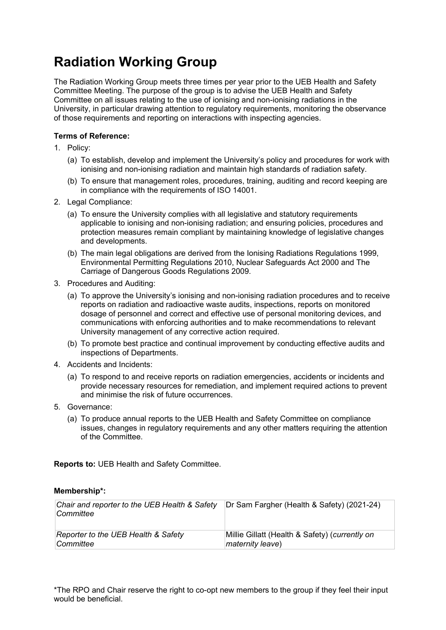## **Radiation Working Group**

The Radiation Working Group meets three times per year prior to the UEB Health and Safety Committee Meeting. The purpose of the group is to advise the UEB Health and Safety Committee on all issues relating to the use of ionising and non-ionising radiations in the University, in particular drawing attention to regulatory requirements, monitoring the observance of those requirements and reporting on interactions with inspecting agencies.

## **Terms of Reference:**

- 1. Policy:
	- (a) To establish, develop and implement the University's policy and procedures for work with ionising and non-ionising radiation and maintain high standards of radiation safety.
	- (b) To ensure that management roles, procedures, training, auditing and record keeping are in compliance with the requirements of ISO 14001.
- 2. Legal Compliance:
	- (a) To ensure the University complies with all legislative and statutory requirements applicable to ionising and non-ionising radiation; and ensuring policies, procedures and protection measures remain compliant by maintaining knowledge of legislative changes and developments.
	- (b) The main legal obligations are derived from the Ionising Radiations Regulations 1999, Environmental Permitting Regulations 2010, Nuclear Safeguards Act 2000 and The Carriage of Dangerous Goods Regulations 2009.
- 3. Procedures and Auditing:
	- (a) To approve the University's ionising and non-ionising radiation procedures and to receive reports on radiation and radioactive waste audits, inspections, reports on monitored dosage of personnel and correct and effective use of personal monitoring devices, and communications with enforcing authorities and to make recommendations to relevant University management of any corrective action required.
	- (b) To promote best practice and continual improvement by conducting effective audits and inspections of Departments.
- 4. Accidents and Incidents:
	- (a) To respond to and receive reports on radiation emergencies, accidents or incidents and provide necessary resources for remediation, and implement required actions to prevent and minimise the risk of future occurrences.
- 5. Governance:
	- (a) To produce annual reports to the UEB Health and Safety Committee on compliance issues, changes in regulatory requirements and any other matters requiring the attention of the Committee.

**Reports to:** UEB Health and Safety Committee.

## **Membership\*:**

| Chair and reporter to the UEB Health & Safety<br>Committee | Dr Sam Fargher (Health & Safety) (2021-24)     |
|------------------------------------------------------------|------------------------------------------------|
| Reporter to the UEB Health & Safety                        | Millie Gillatt (Health & Safety) (currently on |
| Committee                                                  | maternity leave)                               |

\*The RPO and Chair reserve the right to co-opt new members to the group if they feel their input would be beneficial.